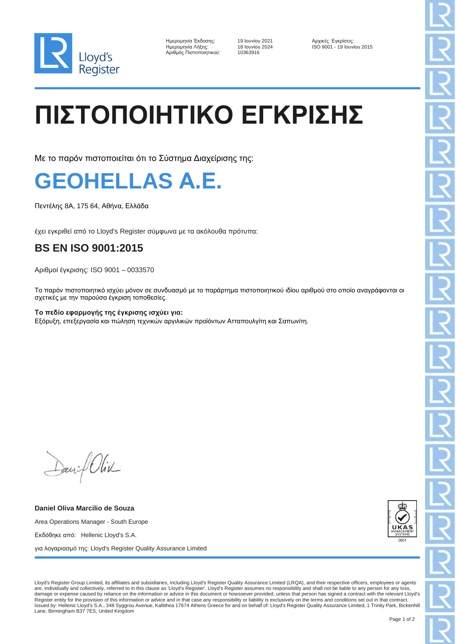

| Ημερομηνία Έκδοσης:     |
|-------------------------|
| Ημερομηνία Λήξης:       |
| Αριθμός Πιστοποιητικού: |

Αριθμός Πιστοποιητικού: 10363916

19 Ιουνίου 2021 - Αρχικές Εγκρίσεις: 18 Ιουνίου 2024 - Αρχικές Εγκρίσεις: Ημερομηνία Λήξης: 18 Ιουνίου 2024 ISO 9001 - 19 Ιουνίου 2015

## **ΠΙΣΤΟΠΟΙΗΤΙΚΟ ΕΓΚΡΙΣΗΣ**

Με το παρόν πιστοποιείται ότι το Σύστημα Διαχείρισης της:



Πεντέλης 8Α, 175 64, Αθήνα, Ελλάδα

έχει εγκριθεί από το Lloyd's Register σύμφωνα με τα ακόλουθα πρότυπα:

## **BS EN ISO 9001:2015**

Αριθμοί έγκρισης: ISO 9001 – 0033570

Το παρόν πιστοποιητικό ισχύει μόνον σε συνδυασμό με το παράρτημα πιστοποιητικού ιδίου αριθμού στο οποίο αναγράφονται οι σχετικές με την παρούσα έγκριση τοποθεσίες.

**Το πεδίο εφαρμογής της έγκρισης ισχύει για:** Εξόρυξη, επεξεργασία και πώληση τεχνικών αργιλικών προϊόντων Ατταπουλγίτη και Σαπωνίτη.

Daniel Oliv

**Daniel Oliva Marcilio de Souza** Area Operations Manager - South Europe Εκδόθηκε από: Hellenic Lloyd's S.A. για λογαριασμό της: Lloyd's Register Quality Assurance Limited



Lloyd's Register Group Limited, its affiliates and subsidiaries, including Lloyd's Register Quality Assurance Limited (LRQA), and their respective officers, employees or agents are, individually and collectively, referred to in this clause as 'Lloyd's Register'. Lloyd's Register assumes no responsibility and shall not be liable to any person for any loss, damage or expense caused by reliance on the information or advice in this document or howsoever provided, unless that person has signed a contract with the relevant Lloyd's Register entity for the provision of this information or advice and in that case any responsibility or liability is exclusively on the terms and conditions set out in that contract.<br>Issued by: Hellenic Lloyd's S.A., 348 Sy Lane, Birmingham B37 7ES, United Kingdom